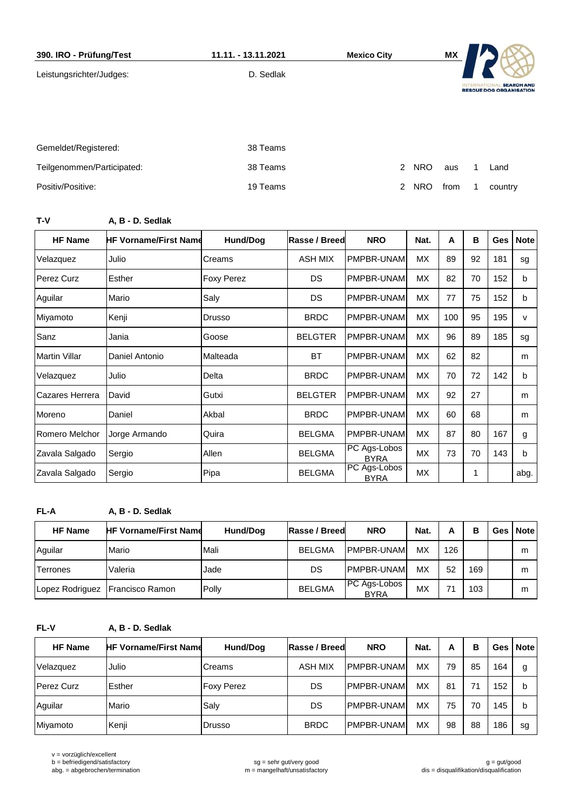| 390. IRO - Prüfung/Test    | 11.11. - 13.11.2021 | <b>Mexico City</b>          | ΜX   |                   |                                                     |
|----------------------------|---------------------|-----------------------------|------|-------------------|-----------------------------------------------------|
| Leistungsrichter/Judges:   | D. Sedlak           |                             |      | <b>INTERNATIC</b> | <b>SEARCH AND</b><br><b>RESCUE DOG ORGANISATION</b> |
| Gemeldet/Registered:       | 38 Teams            |                             |      |                   |                                                     |
| Teilgenommen/Participated: | 38 Teams            | <b>NRO</b><br>2             | aus  |                   | Land                                                |
| Positiv/Positive:          | 19 Teams            | $\mathcal{P}$<br><b>NRO</b> | from |                   | country                                             |

**T-V A, B - D. Sedlak**

| <b>HF Name</b>       | <b>HF Vorname/First Name</b> | Hund/Dog          | <b>Rasse / Breed</b> | <b>NRO</b>                  | Nat.      | A   | В  | <b>Ges</b> | <b>Note</b>  |
|----------------------|------------------------------|-------------------|----------------------|-----------------------------|-----------|-----|----|------------|--------------|
| Velazquez            | Julio                        | Creams            | ASH MIX              | PMPBR-UNAM                  | МX        | 89  | 92 | 181        | sg           |
| Perez Curz           | Esther                       | <b>Foxy Perez</b> | <b>DS</b>            | PMPBR-UNAM                  | <b>MX</b> | 82  | 70 | 152        | b            |
| Aguilar              | Mario                        | Saly              | <b>DS</b>            | PMPBR-UNAM                  | <b>MX</b> | 77  | 75 | 152        | b            |
| Miyamoto             | Kenji                        | Drusso            | <b>BRDC</b>          | PMPBR-UNAM                  | <b>MX</b> | 100 | 95 | 195        | $\mathsf{v}$ |
| Sanz                 | Jania                        | Goose             | <b>BELGTER</b>       | PMPBR-UNAM                  | <b>MX</b> | 96  | 89 | 185        | sg           |
| <b>Martin Villar</b> | Daniel Antonio               | Malteada          | <b>BT</b>            | PMPBR-UNAM                  | <b>MX</b> | 62  | 82 |            | m            |
| Velazquez            | Julio                        | Delta             | <b>BRDC</b>          | PMPBR-UNAM                  | <b>MX</b> | 70  | 72 | 142        | b            |
| Cazares Herrera      | David                        | Gutxi             | <b>BELGTER</b>       | PMPBR-UNAM                  | МX        | 92  | 27 |            | m            |
| Moreno               | Daniel                       | Akbal             | <b>BRDC</b>          | PMPBR-UNAM                  | МX        | 60  | 68 |            | m            |
| Romero Melchor       | Jorge Armando                | Quira             | <b>BELGMA</b>        | PMPBR-UNAM                  | <b>MX</b> | 87  | 80 | 167        | g            |
| Zavala Salgado       | Sergio                       | Allen             | <b>BELGMA</b>        | PC Ags-Lobos<br><b>BYRA</b> | МX        | 73  | 70 | 143        | b            |
| Zavala Salgado       | Sergio                       | Pipa              | <b>BELGMA</b>        | PC Ags-Lobos<br><b>BYRA</b> | МX        |     |    |            | abg.         |

**FL-A A, B - D. Sedlak**

| <b>HF Name</b>  | <b>HF Vorname/First Name</b>    | Hund/Dog | Rasse / Breed | <b>NRO</b>                         | Nat.      | А   | В   | Ges   Note |
|-----------------|---------------------------------|----------|---------------|------------------------------------|-----------|-----|-----|------------|
| Aguilar         | Mario                           | Mali     | <b>BELGMA</b> | PMPBR-UNAM                         | <b>MX</b> | 126 |     | m          |
| <b>Terrones</b> | Valeria                         | Jade     | DS.           | PMPBR-UNAM                         | МX        | 52  | 169 | m          |
|                 | Lopez Rodriguez Francisco Ramon | Polly    | <b>BELGMA</b> | <b>PC</b> Ags-Lobos<br><b>BYRA</b> | <b>MX</b> | 74  | 103 | m          |

**FL-V A, B - D. Sedlak**

| <b>HF Name</b>    | <b>HF Vorname/First Name</b> | Hund/Dog          | Rasse / Breed  | <b>NRO</b>         | Nat.      | А  | в  |     | Ges   Note |
|-------------------|------------------------------|-------------------|----------------|--------------------|-----------|----|----|-----|------------|
| Velazquez         | Julio                        | <b>Creams</b>     | <b>ASH MIX</b> | <b>IPMPBR-UNAM</b> | МX        | 79 | 85 | 164 | g          |
| <b>Perez Curz</b> | Esther                       | <b>Foxy Perez</b> | DS             | <b>IPMPBR-UNAM</b> | МX        | 81 | 71 | 152 | b          |
| Aguilar           | Mario                        | Salv              | DS             | <b>IPMPBR-UNAM</b> | <b>MX</b> | 75 | 70 | 145 | b          |
| Miyamoto          | Kenji                        | Drusso            | <b>BRDC</b>    | IPMPBR-UNAM        | МX        | 98 | 88 | 186 | sg         |